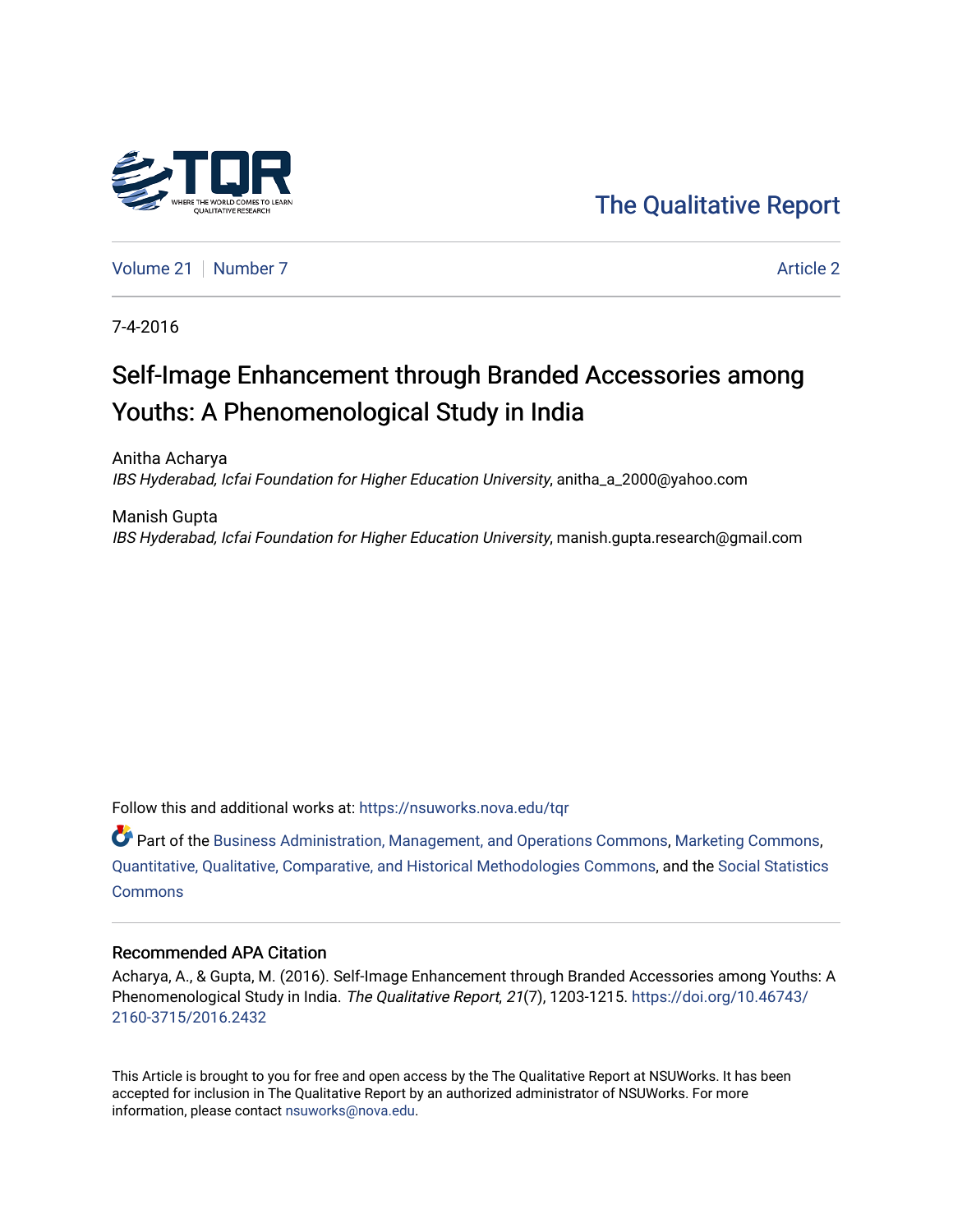

[The Qualitative Report](https://nsuworks.nova.edu/tqr) 

[Volume 21](https://nsuworks.nova.edu/tqr/vol21) | [Number 7](https://nsuworks.nova.edu/tqr/vol21/iss7) Article 2

7-4-2016

## Self-Image Enhancement through Branded Accessories among Youths: A Phenomenological Study in India

Anitha Acharya IBS Hyderabad, Icfai Foundation for Higher Education University, anitha\_a\_2000@yahoo.com

Manish Gupta IBS Hyderabad, Icfai Foundation for Higher Education University, manish.gupta.research@gmail.com

Follow this and additional works at: [https://nsuworks.nova.edu/tqr](https://nsuworks.nova.edu/tqr?utm_source=nsuworks.nova.edu%2Ftqr%2Fvol21%2Fiss7%2F2&utm_medium=PDF&utm_campaign=PDFCoverPages) 

Part of the [Business Administration, Management, and Operations Commons](http://network.bepress.com/hgg/discipline/623?utm_source=nsuworks.nova.edu%2Ftqr%2Fvol21%2Fiss7%2F2&utm_medium=PDF&utm_campaign=PDFCoverPages), [Marketing Commons](http://network.bepress.com/hgg/discipline/638?utm_source=nsuworks.nova.edu%2Ftqr%2Fvol21%2Fiss7%2F2&utm_medium=PDF&utm_campaign=PDFCoverPages), [Quantitative, Qualitative, Comparative, and Historical Methodologies Commons,](http://network.bepress.com/hgg/discipline/423?utm_source=nsuworks.nova.edu%2Ftqr%2Fvol21%2Fiss7%2F2&utm_medium=PDF&utm_campaign=PDFCoverPages) and the [Social Statistics](http://network.bepress.com/hgg/discipline/1275?utm_source=nsuworks.nova.edu%2Ftqr%2Fvol21%2Fiss7%2F2&utm_medium=PDF&utm_campaign=PDFCoverPages)  **[Commons](http://network.bepress.com/hgg/discipline/1275?utm_source=nsuworks.nova.edu%2Ftqr%2Fvol21%2Fiss7%2F2&utm_medium=PDF&utm_campaign=PDFCoverPages)** 

#### Recommended APA Citation

Acharya, A., & Gupta, M. (2016). Self-Image Enhancement through Branded Accessories among Youths: A Phenomenological Study in India. The Qualitative Report, 21(7), 1203-1215. [https://doi.org/10.46743/](https://doi.org/10.46743/2160-3715/2016.2432) [2160-3715/2016.2432](https://doi.org/10.46743/2160-3715/2016.2432)

This Article is brought to you for free and open access by the The Qualitative Report at NSUWorks. It has been accepted for inclusion in The Qualitative Report by an authorized administrator of NSUWorks. For more information, please contact [nsuworks@nova.edu.](mailto:nsuworks@nova.edu)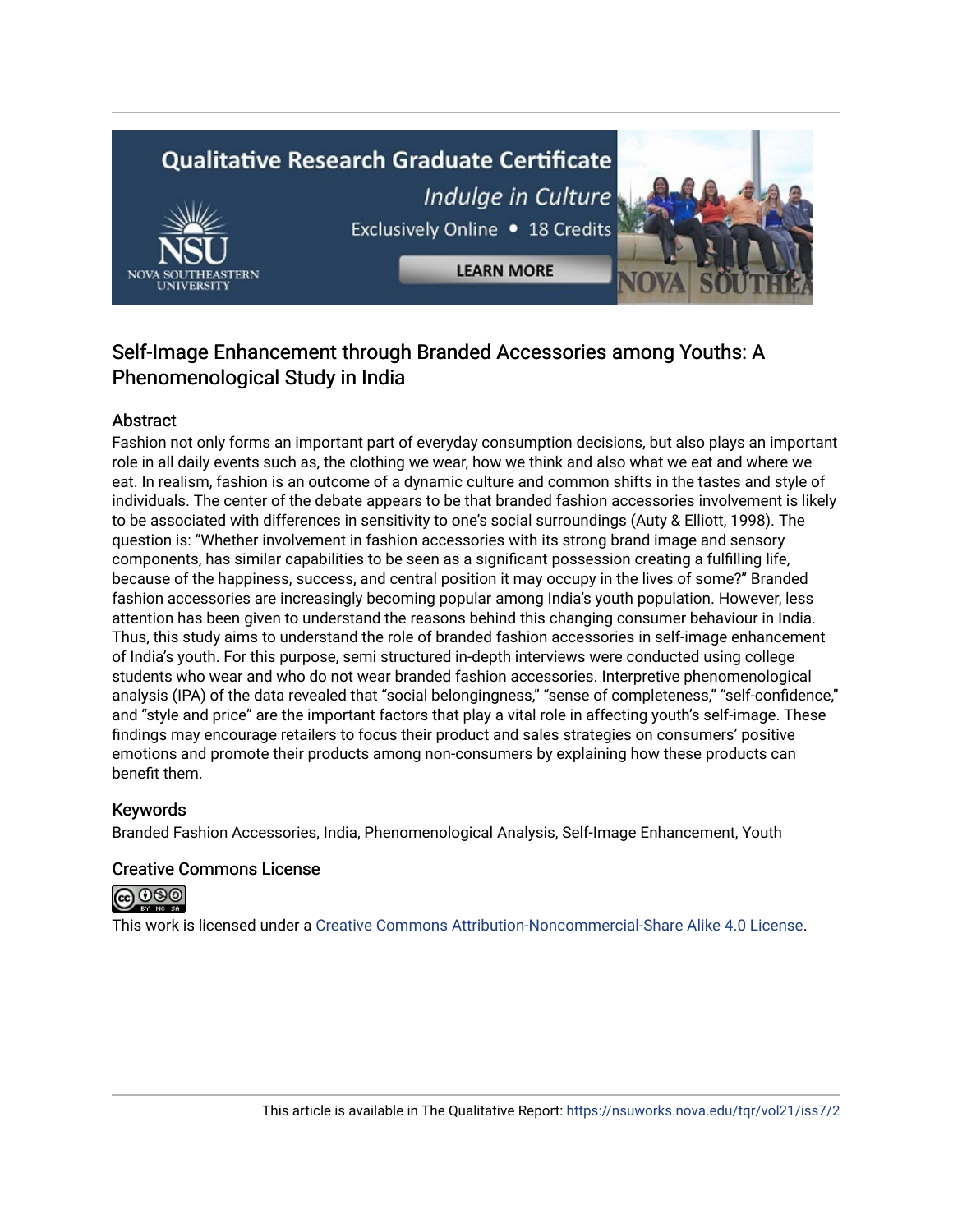# **Qualitative Research Graduate Certificate** Indulge in Culture Exclusively Online . 18 Credits

**LEARN MORE** 

### Self-Image Enhancement through Branded Accessories among Youths: A Phenomenological Study in India

#### Abstract

Fashion not only forms an important part of everyday consumption decisions, but also plays an important role in all daily events such as, the clothing we wear, how we think and also what we eat and where we eat. In realism, fashion is an outcome of a dynamic culture and common shifts in the tastes and style of individuals. The center of the debate appears to be that branded fashion accessories involvement is likely to be associated with differences in sensitivity to one's social surroundings (Auty & Elliott, 1998). The question is: "Whether involvement in fashion accessories with its strong brand image and sensory components, has similar capabilities to be seen as a significant possession creating a fulfilling life, because of the happiness, success, and central position it may occupy in the lives of some?" Branded fashion accessories are increasingly becoming popular among India's youth population. However, less attention has been given to understand the reasons behind this changing consumer behaviour in India. Thus, this study aims to understand the role of branded fashion accessories in self-image enhancement of India's youth. For this purpose, semi structured in-depth interviews were conducted using college students who wear and who do not wear branded fashion accessories. Interpretive phenomenological analysis (IPA) of the data revealed that "social belongingness," "sense of completeness," "self-confidence," and "style and price" are the important factors that play a vital role in affecting youth's self-image. These findings may encourage retailers to focus their product and sales strategies on consumers' positive emotions and promote their products among non-consumers by explaining how these products can benefit them.

#### Keywords

Branded Fashion Accessories, India, Phenomenological Analysis, Self-Image Enhancement, Youth

#### Creative Commons License



This work is licensed under a [Creative Commons Attribution-Noncommercial-Share Alike 4.0 License](https://creativecommons.org/licenses/by-nc-sa/4.0/).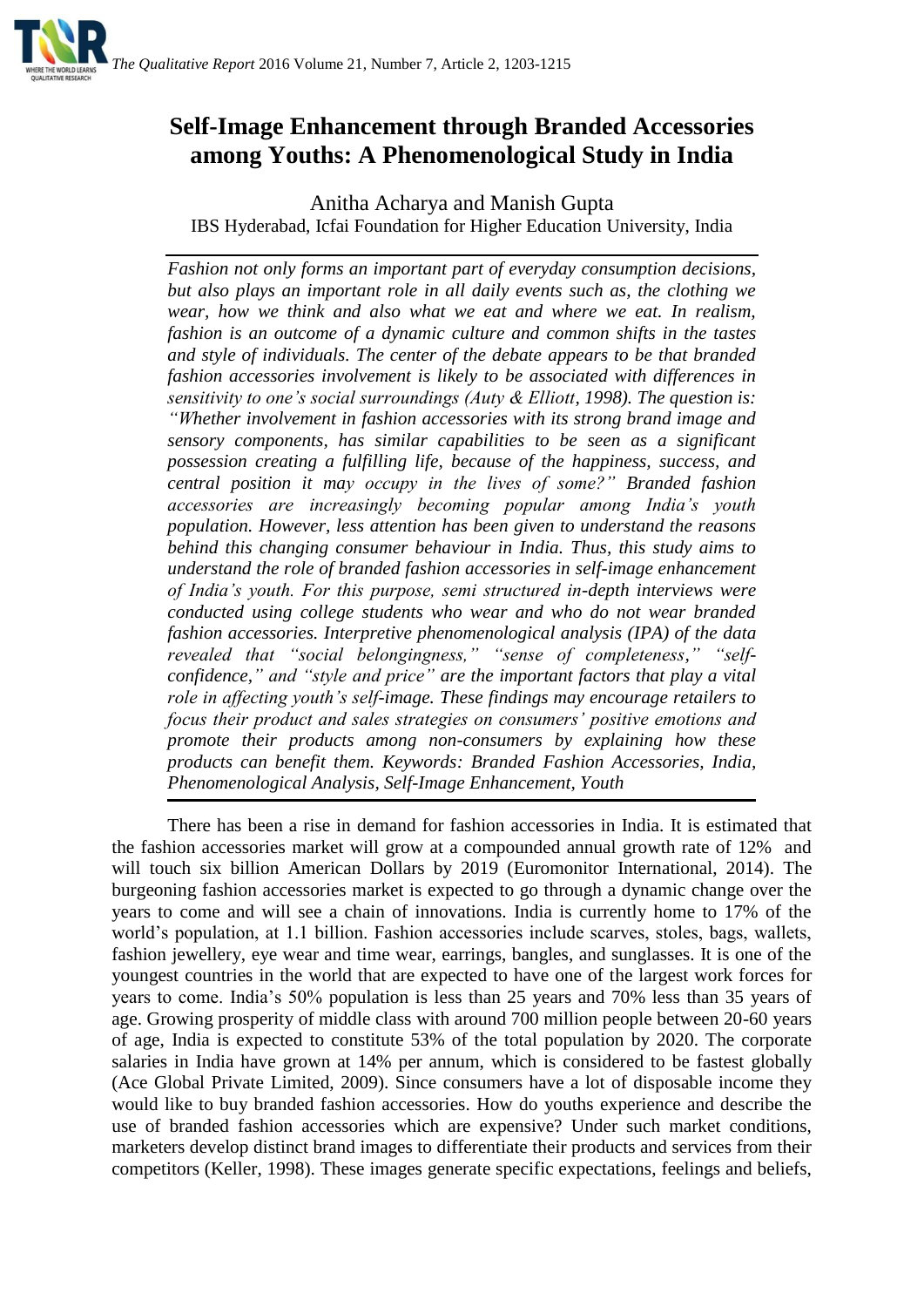

## **Self-Image Enhancement through Branded Accessories among Youths: A Phenomenological Study in India**

Anitha Acharya and Manish Gupta IBS Hyderabad, Icfai Foundation for Higher Education University, India

*Fashion not only forms an important part of everyday consumption decisions, but also plays an important role in all daily events such as, the clothing we wear, how we think and also what we eat and where we eat. In realism, fashion is an outcome of a dynamic culture and common shifts in the tastes and style of individuals. The center of the debate appears to be that branded fashion accessories involvement is likely to be associated with differences in sensitivity to one's social surroundings (Auty & Elliott, 1998). The question is: "Whether involvement in fashion accessories with its strong brand image and sensory components, has similar capabilities to be seen as a significant possession creating a fulfilling life, because of the happiness, success, and central position it may occupy in the lives of some?" Branded fashion accessories are increasingly becoming popular among India's youth population. However, less attention has been given to understand the reasons behind this changing consumer behaviour in India. Thus, this study aims to understand the role of branded fashion accessories in self-image enhancement of India's youth. For this purpose, semi structured in-depth interviews were conducted using college students who wear and who do not wear branded fashion accessories. Interpretive phenomenological analysis (IPA) of the data revealed that "social belongingness," "sense of completeness," "selfconfidence," and "style and price" are the important factors that play a vital role in affecting youth's self-image. These findings may encourage retailers to focus their product and sales strategies on consumers' positive emotions and promote their products among non-consumers by explaining how these products can benefit them. Keywords: Branded Fashion Accessories, India, Phenomenological Analysis, Self-Image Enhancement, Youth*

There has been a rise in demand for fashion accessories in India. It is estimated that the fashion accessories market will grow at a compounded annual growth rate of 12% and will touch six billion American Dollars by 2019 (Euromonitor International, 2014). The burgeoning fashion accessories market is expected to go through a dynamic change over the years to come and will see a chain of innovations. India is currently home to 17% of the world's population, at 1.1 billion. Fashion accessories include scarves, stoles, bags, wallets, fashion jewellery, eye wear and time wear, earrings, bangles, and sunglasses. It is one of the youngest countries in the world that are expected to have one of the largest work forces for years to come. India's 50% population is less than 25 years and 70% less than 35 years of age. Growing prosperity of middle class with around 700 million people between 20-60 years of age, India is expected to constitute 53% of the total population by 2020. The corporate salaries in India have grown at 14% per annum, which is considered to be fastest globally (Ace Global Private Limited, 2009). Since consumers have a lot of disposable income they would like to buy branded fashion accessories. How do youths experience and describe the use of branded fashion accessories which are expensive? Under such market conditions, marketers develop distinct brand images to differentiate their products and services from their competitors (Keller, 1998). These images generate specific expectations, feelings and beliefs,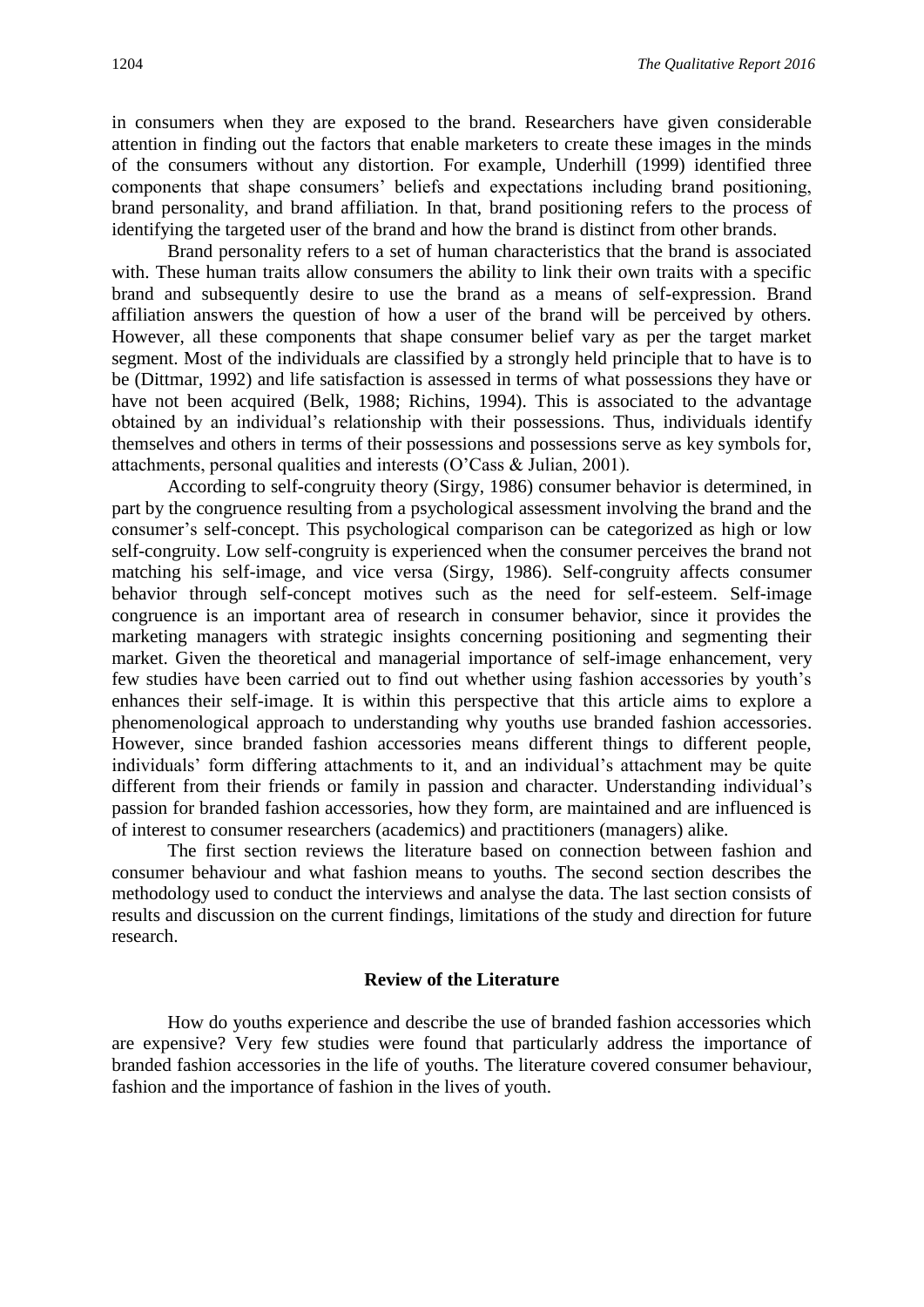in consumers when they are exposed to the brand. Researchers have given considerable attention in finding out the factors that enable marketers to create these images in the minds of the consumers without any distortion. For example, Underhill (1999) identified three components that shape consumers' beliefs and expectations including brand positioning, brand personality, and brand affiliation. In that, brand positioning refers to the process of identifying the targeted user of the brand and how the brand is distinct from other brands.

Brand personality refers to a set of human characteristics that the brand is associated with. These human traits allow consumers the ability to link their own traits with a specific brand and subsequently desire to use the brand as a means of self-expression. Brand affiliation answers the question of how a user of the brand will be perceived by others. However, all these components that shape consumer belief vary as per the target market segment. Most of the individuals are classified by a strongly held principle that to have is to be (Dittmar, 1992) and life satisfaction is assessed in terms of what possessions they have or have not been acquired (Belk, 1988; Richins, 1994). This is associated to the advantage obtained by an individual's relationship with their possessions. Thus, individuals identify themselves and others in terms of their possessions and possessions serve as key symbols for, attachments, personal qualities and interests (O'Cass & Julian, 2001).

According to self-congruity theory (Sirgy, 1986) consumer behavior is determined, in part by the congruence resulting from a psychological assessment involving the brand and the consumer's self-concept. This psychological comparison can be categorized as high or low self-congruity. Low self-congruity is experienced when the consumer perceives the brand not matching his self-image, and vice versa (Sirgy, 1986). Self-congruity affects consumer behavior through self-concept motives such as the need for self-esteem. Self-image congruence is an important area of research in consumer behavior, since it provides the marketing managers with strategic insights concerning positioning and segmenting their market. Given the theoretical and managerial importance of self-image enhancement, very few studies have been carried out to find out whether using fashion accessories by youth's enhances their self-image. It is within this perspective that this article aims to explore a phenomenological approach to understanding why youths use branded fashion accessories. However, since branded fashion accessories means different things to different people, individuals' form differing attachments to it, and an individual's attachment may be quite different from their friends or family in passion and character. Understanding individual's passion for branded fashion accessories, how they form, are maintained and are influenced is of interest to consumer researchers (academics) and practitioners (managers) alike.

The first section reviews the literature based on connection between fashion and consumer behaviour and what fashion means to youths. The second section describes the methodology used to conduct the interviews and analyse the data. The last section consists of results and discussion on the current findings, limitations of the study and direction for future research.

#### **Review of the Literature**

How do youths experience and describe the use of branded fashion accessories which are expensive? Very few studies were found that particularly address the importance of branded fashion accessories in the life of youths. The literature covered consumer behaviour, fashion and the importance of fashion in the lives of youth.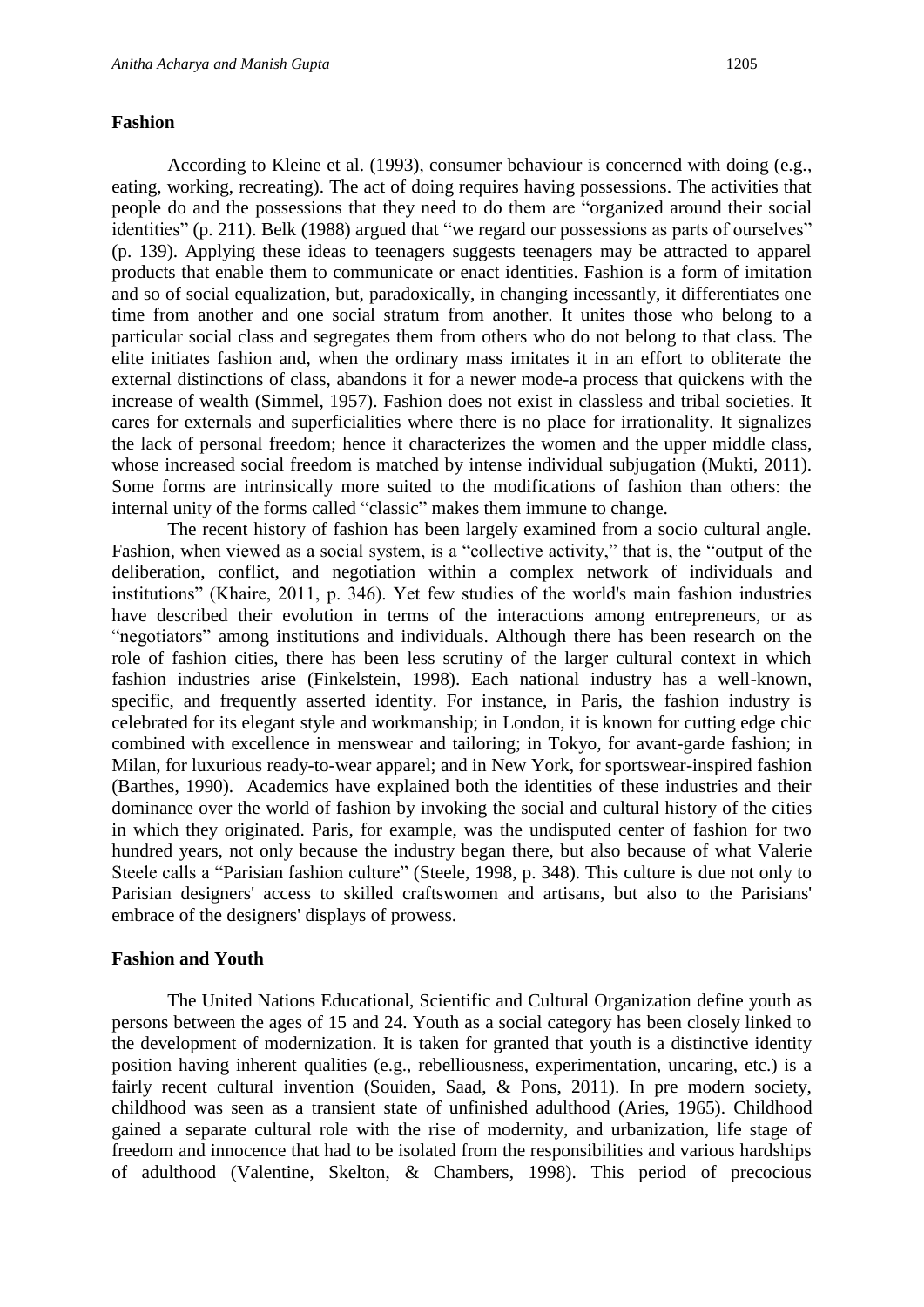According to Kleine et al. (1993), consumer behaviour is concerned with doing (e.g., eating, working, recreating). The act of doing requires having possessions. The activities that people do and the possessions that they need to do them are "organized around their social identities" (p. 211). Belk (1988) argued that "we regard our possessions as parts of ourselves" (p. 139). Applying these ideas to teenagers suggests teenagers may be attracted to apparel products that enable them to communicate or enact identities. Fashion is a form of imitation and so of social equalization, but, paradoxically, in changing incessantly, it differentiates one time from another and one social stratum from another. It unites those who belong to a particular social class and segregates them from others who do not belong to that class. The elite initiates fashion and, when the ordinary mass imitates it in an effort to obliterate the external distinctions of class, abandons it for a newer mode-a process that quickens with the increase of wealth (Simmel, 1957). Fashion does not exist in classless and tribal societies. It cares for externals and superficialities where there is no place for irrationality. It signalizes the lack of personal freedom; hence it characterizes the women and the upper middle class, whose increased social freedom is matched by intense individual subjugation (Mukti, 2011). Some forms are intrinsically more suited to the modifications of fashion than others: the internal unity of the forms called "classic" makes them immune to change.

The recent history of fashion has been largely examined from a socio cultural angle. Fashion, when viewed as a social system, is a "collective activity," that is, the "output of the deliberation, conflict, and negotiation within a complex network of individuals and institutions" (Khaire, 2011, p. 346). Yet few studies of the world's main fashion industries have described their evolution in terms of the interactions among entrepreneurs, or as "negotiators" among institutions and individuals. Although there has been research on the role of fashion cities, there has been less scrutiny of the larger cultural context in which fashion industries arise (Finkelstein, 1998). Each national industry has a well-known, specific, and frequently asserted identity. For instance, in Paris, the fashion industry is celebrated for its elegant style and workmanship; in London, it is known for cutting edge chic combined with excellence in menswear and tailoring; in Tokyo, for avant-garde fashion; in Milan, for luxurious ready-to-wear apparel; and in New York, for sportswear-inspired fashion (Barthes, 1990). Academics have explained both the identities of these industries and their dominance over the world of fashion by invoking the social and cultural history of the cities in which they originated. Paris, for example, was the undisputed center of fashion for two hundred years, not only because the industry began there, but also because of what Valerie Steele calls a "Parisian fashion culture" (Steele, 1998, p. 348). This culture is due not only to Parisian designers' access to skilled craftswomen and artisans, but also to the Parisians' embrace of the designers' displays of prowess.

#### **Fashion and Youth**

The United Nations Educational, Scientific and Cultural Organization define youth as persons between the ages of 15 and 24. Youth as a social category has been closely linked to the development of modernization. It is taken for granted that youth is a distinctive identity position having inherent qualities (e.g., rebelliousness, experimentation, uncaring, etc.) is a fairly recent cultural invention (Souiden, Saad, & Pons, 2011). In pre modern society, childhood was seen as a transient state of unfinished adulthood (Aries, 1965). Childhood gained a separate cultural role with the rise of modernity, and urbanization, life stage of freedom and innocence that had to be isolated from the responsibilities and various hardships of adulthood (Valentine, Skelton, & Chambers, 1998). This period of precocious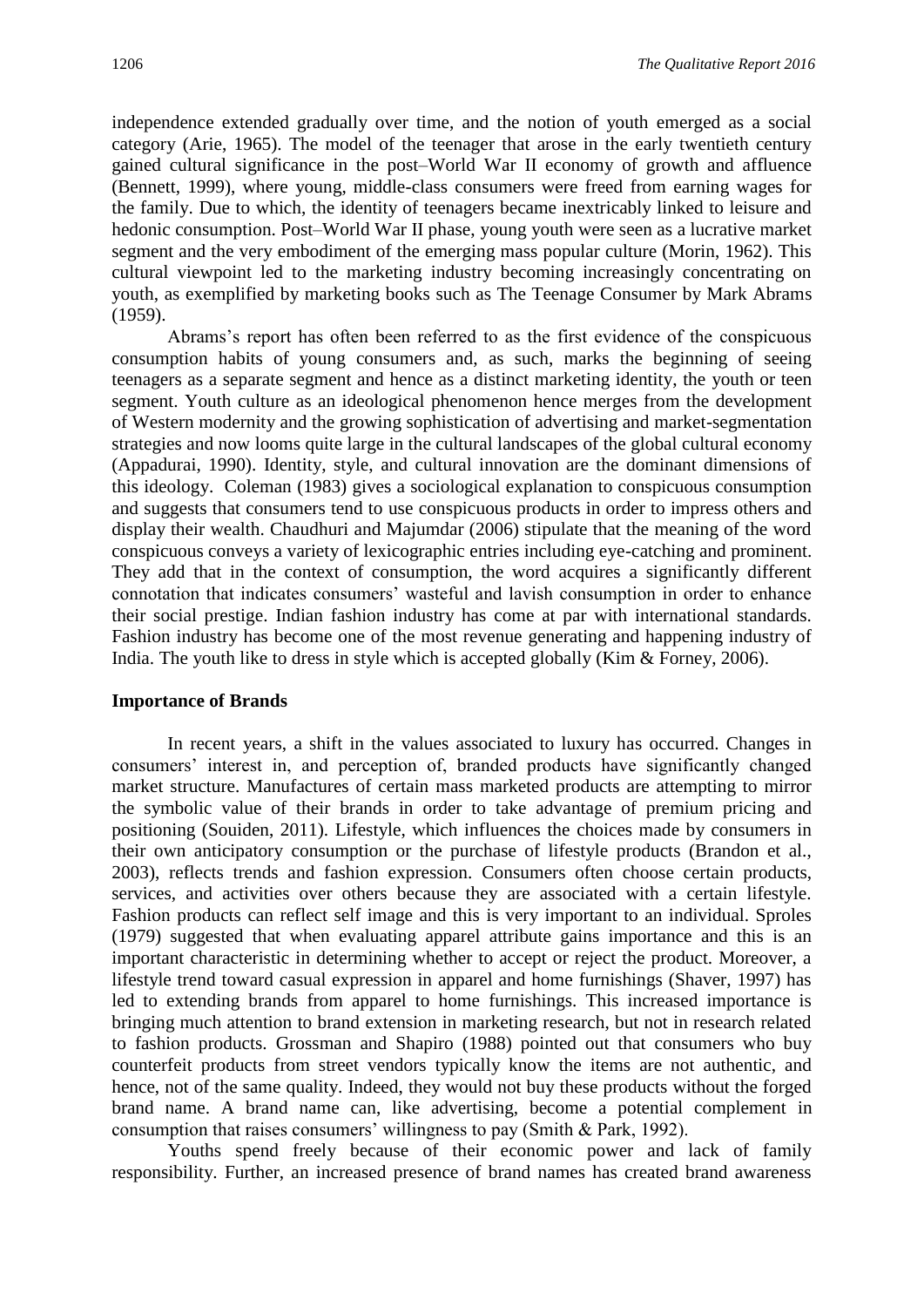independence extended gradually over time, and the notion of youth emerged as a social category (Arie, 1965). The model of the teenager that arose in the early twentieth century gained cultural significance in the post–World War II economy of growth and affluence (Bennett, 1999), where young, middle-class consumers were freed from earning wages for the family. Due to which, the identity of teenagers became inextricably linked to leisure and hedonic consumption. Post–World War II phase, young youth were seen as a lucrative market segment and the very embodiment of the emerging mass popular culture (Morin, 1962). This cultural viewpoint led to the marketing industry becoming increasingly concentrating on youth, as exemplified by marketing books such as The Teenage Consumer by Mark Abrams (1959).

Abrams's report has often been referred to as the first evidence of the conspicuous consumption habits of young consumers and, as such, marks the beginning of seeing teenagers as a separate segment and hence as a distinct marketing identity, the youth or teen segment. Youth culture as an ideological phenomenon hence merges from the development of Western modernity and the growing sophistication of advertising and market-segmentation strategies and now looms quite large in the cultural landscapes of the global cultural economy (Appadurai, 1990). Identity, style, and cultural innovation are the dominant dimensions of this ideology. Coleman (1983) gives a sociological explanation to conspicuous consumption and suggests that consumers tend to use conspicuous products in order to impress others and display their wealth. Chaudhuri and Majumdar (2006) stipulate that the meaning of the word conspicuous conveys a variety of lexicographic entries including eye-catching and prominent. They add that in the context of consumption, the word acquires a significantly different connotation that indicates consumers' wasteful and lavish consumption in order to enhance their social prestige. Indian fashion industry has come at par with international standards. Fashion industry has become one of the most revenue generating and happening industry of India. The youth like to dress in style which is accepted globally (Kim & Forney, 2006).

#### **Importance of Brands**

In recent years, a shift in the values associated to luxury has occurred. Changes in consumers' interest in, and perception of, branded products have significantly changed market structure. Manufactures of certain mass marketed products are attempting to mirror the symbolic value of their brands in order to take advantage of premium pricing and positioning (Souiden, 2011). Lifestyle, which influences the choices made by consumers in their own anticipatory consumption or the purchase of lifestyle products (Brandon et al., 2003), reflects trends and fashion expression. Consumers often choose certain products, services, and activities over others because they are associated with a certain lifestyle. Fashion products can reflect self image and this is very important to an individual. Sproles (1979) suggested that when evaluating apparel attribute gains importance and this is an important characteristic in determining whether to accept or reject the product. Moreover, a lifestyle trend toward casual expression in apparel and home furnishings (Shaver, 1997) has led to extending brands from apparel to home furnishings. This increased importance is bringing much attention to brand extension in marketing research, but not in research related to fashion products. Grossman and Shapiro (1988) pointed out that consumers who buy counterfeit products from street vendors typically know the items are not authentic, and hence, not of the same quality. Indeed, they would not buy these products without the forged brand name. A brand name can, like advertising, become a potential complement in consumption that raises consumers' willingness to pay (Smith & Park, 1992).

Youths spend freely because of their economic power and lack of family responsibility. Further, an increased presence of brand names has created brand awareness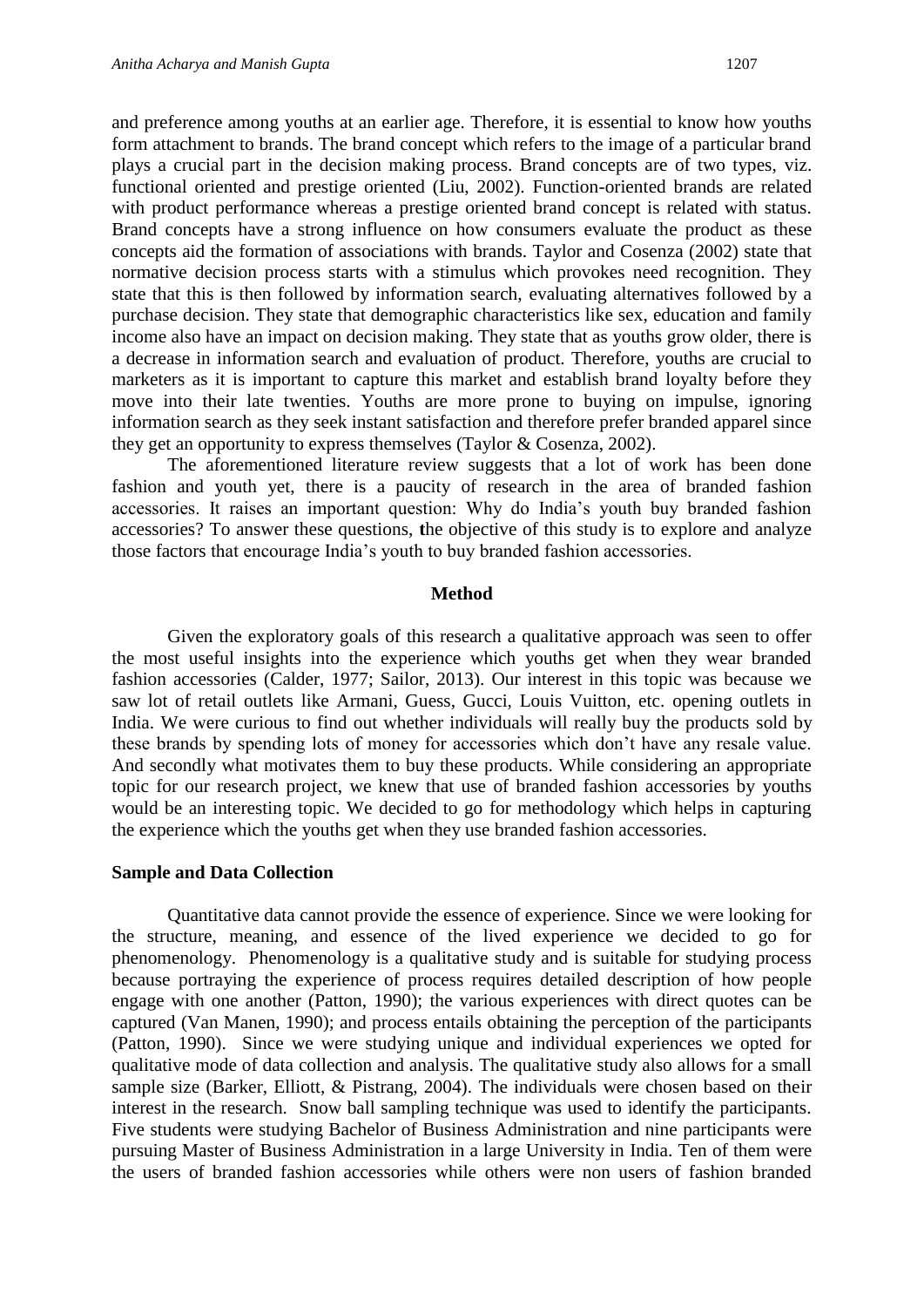and preference among youths at an earlier age. Therefore, it is essential to know how youths form attachment to brands. The brand concept which refers to the image of a particular brand plays a crucial part in the decision making process. Brand concepts are of two types, viz. functional oriented and prestige oriented (Liu, 2002). Function-oriented brands are related with product performance whereas a prestige oriented brand concept is related with status. Brand concepts have a strong influence on how consumers evaluate the product as these concepts aid the formation of associations with brands. Taylor and Cosenza (2002) state that normative decision process starts with a stimulus which provokes need recognition. They state that this is then followed by information search, evaluating alternatives followed by a purchase decision. They state that demographic characteristics like sex, education and family income also have an impact on decision making. They state that as youths grow older, there is a decrease in information search and evaluation of product. Therefore, youths are crucial to marketers as it is important to capture this market and establish brand loyalty before they move into their late twenties. Youths are more prone to buying on impulse, ignoring information search as they seek instant satisfaction and therefore prefer branded apparel since they get an opportunity to express themselves (Taylor & Cosenza, 2002).

The aforementioned literature review suggests that a lot of work has been done fashion and youth yet, there is a paucity of research in the area of branded fashion accessories. It raises an important question: Why do India's youth buy branded fashion accessories? To answer these questions, **t**he objective of this study is to explore and analyze those factors that encourage India's youth to buy branded fashion accessories.

#### **Method**

Given the exploratory goals of this research a qualitative approach was seen to offer the most useful insights into the experience which youths get when they wear branded fashion accessories (Calder, 1977; Sailor, 2013). Our interest in this topic was because we saw lot of retail outlets like Armani, Guess, Gucci, Louis Vuitton, etc. opening outlets in India. We were curious to find out whether individuals will really buy the products sold by these brands by spending lots of money for accessories which don't have any resale value. And secondly what motivates them to buy these products. While considering an appropriate topic for our research project, we knew that use of branded fashion accessories by youths would be an interesting topic. We decided to go for methodology which helps in capturing the experience which the youths get when they use branded fashion accessories.

#### **Sample and Data Collection**

Quantitative data cannot provide the essence of experience. Since we were looking for the structure, meaning, and essence of the lived experience we decided to go for phenomenology. Phenomenology is a qualitative study and is suitable for studying process because portraying the experience of process requires detailed description of how people engage with one another (Patton, 1990); the various experiences with direct quotes can be captured (Van Manen, 1990); and process entails obtaining the perception of the participants (Patton, 1990). Since we were studying unique and individual experiences we opted for qualitative mode of data collection and analysis. The qualitative study also allows for a small sample size (Barker, Elliott, & Pistrang, 2004). The individuals were chosen based on their interest in the research. Snow ball sampling technique was used to identify the participants. Five students were studying Bachelor of Business Administration and nine participants were pursuing Master of Business Administration in a large University in India. Ten of them were the users of branded fashion accessories while others were non users of fashion branded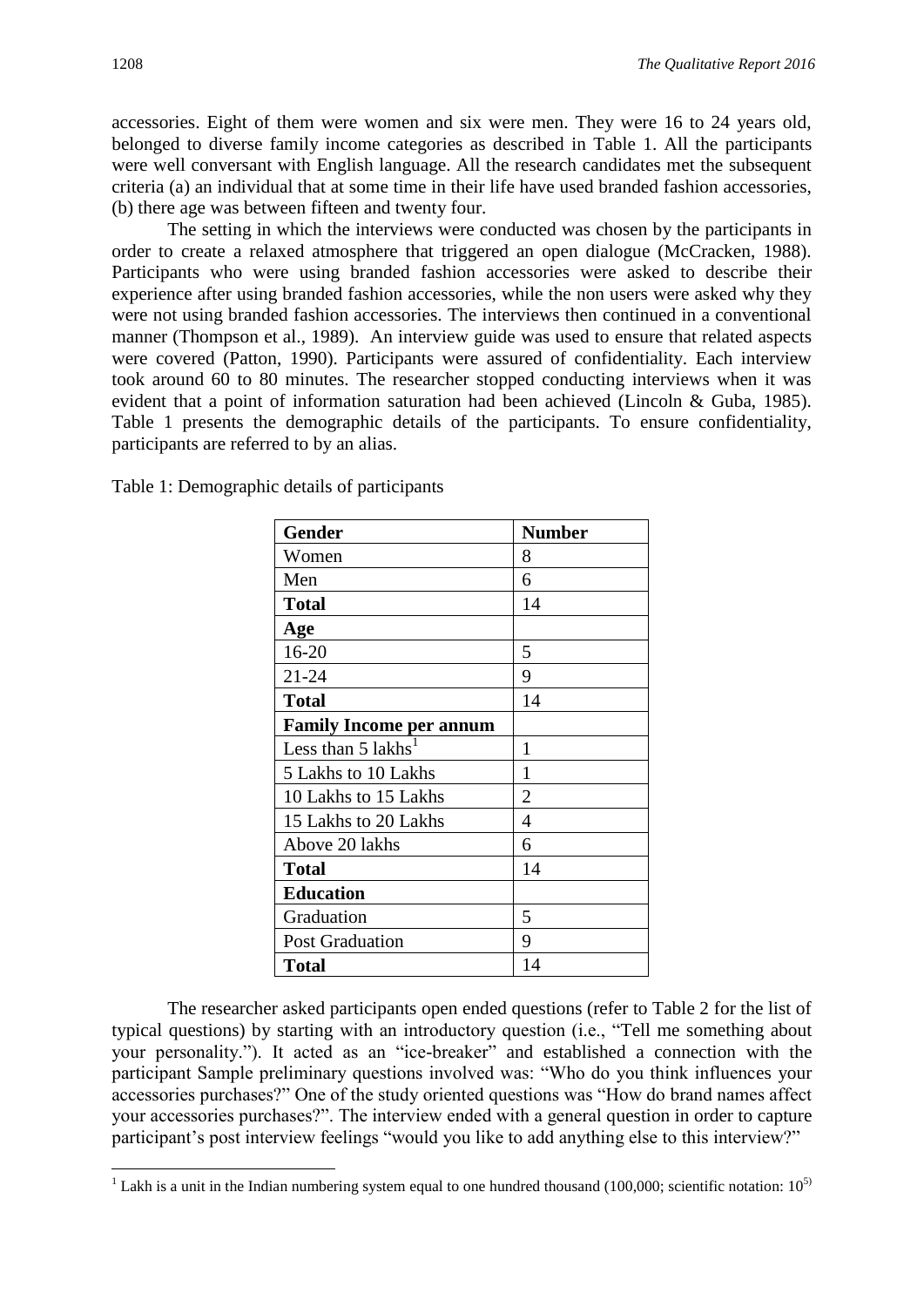accessories. Eight of them were women and six were men. They were 16 to 24 years old, belonged to diverse family income categories as described in Table 1. All the participants were well conversant with English language. All the research candidates met the subsequent criteria (a) an individual that at some time in their life have used branded fashion accessories, (b) there age was between fifteen and twenty four.

The setting in which the interviews were conducted was chosen by the participants in order to create a relaxed atmosphere that triggered an open dialogue (McCracken, 1988). Participants who were using branded fashion accessories were asked to describe their experience after using branded fashion accessories, while the non users were asked why they were not using branded fashion accessories. The interviews then continued in a conventional manner (Thompson et al., 1989). An interview guide was used to ensure that related aspects were covered (Patton, 1990). Participants were assured of confidentiality. Each interview took around 60 to 80 minutes. The researcher stopped conducting interviews when it was evident that a point of information saturation had been achieved (Lincoln & Guba, 1985). Table 1 presents the demographic details of the participants. To ensure confidentiality, participants are referred to by an alias.

| <b>Gender</b>                  | <b>Number</b>  |
|--------------------------------|----------------|
| Women                          | 8              |
| Men                            | 6              |
| <b>Total</b>                   | 14             |
| Age                            |                |
| $16 - 20$                      | 5              |
| $21 - 24$                      | 9              |
| <b>Total</b>                   | 14             |
| <b>Family Income per annum</b> |                |
| Less than 5 lakhs <sup>1</sup> | 1              |
| 5 Lakhs to 10 Lakhs            | 1              |
| 10 Lakhs to 15 Lakhs           | $\overline{2}$ |
| 15 Lakhs to 20 Lakhs           | 4              |
| Above 20 lakhs                 | 6              |
| Total                          | 14             |
| <b>Education</b>               |                |
| Graduation                     | 5              |
| <b>Post Graduation</b>         | 9              |
| <b>Total</b>                   | 14             |

Table 1: Demographic details of participants

The researcher asked participants open ended questions (refer to Table 2 for the list of typical questions) by starting with an introductory question (i.e., "Tell me something about your personality."). It acted as an "ice-breaker" and established a connection with the participant Sample preliminary questions involved was: "Who do you think influences your accessories purchases?" One of the study oriented questions was "How do brand names affect your accessories purchases?". The interview ended with a general question in order to capture participant's post interview feelings "would you like to add anything else to this interview?"

**.** 

<sup>&</sup>lt;sup>1</sup> Lakh is a unit in the [Indian numbering system](https://en.wikipedia.org/wiki/Indian_numbering_system) equal to [one hundred thousand](https://en.wikipedia.org/wiki/100000_(number)) (100,000; [scientific notation:](https://en.wikipedia.org/wiki/Scientific_notation)  $10^{5}$ )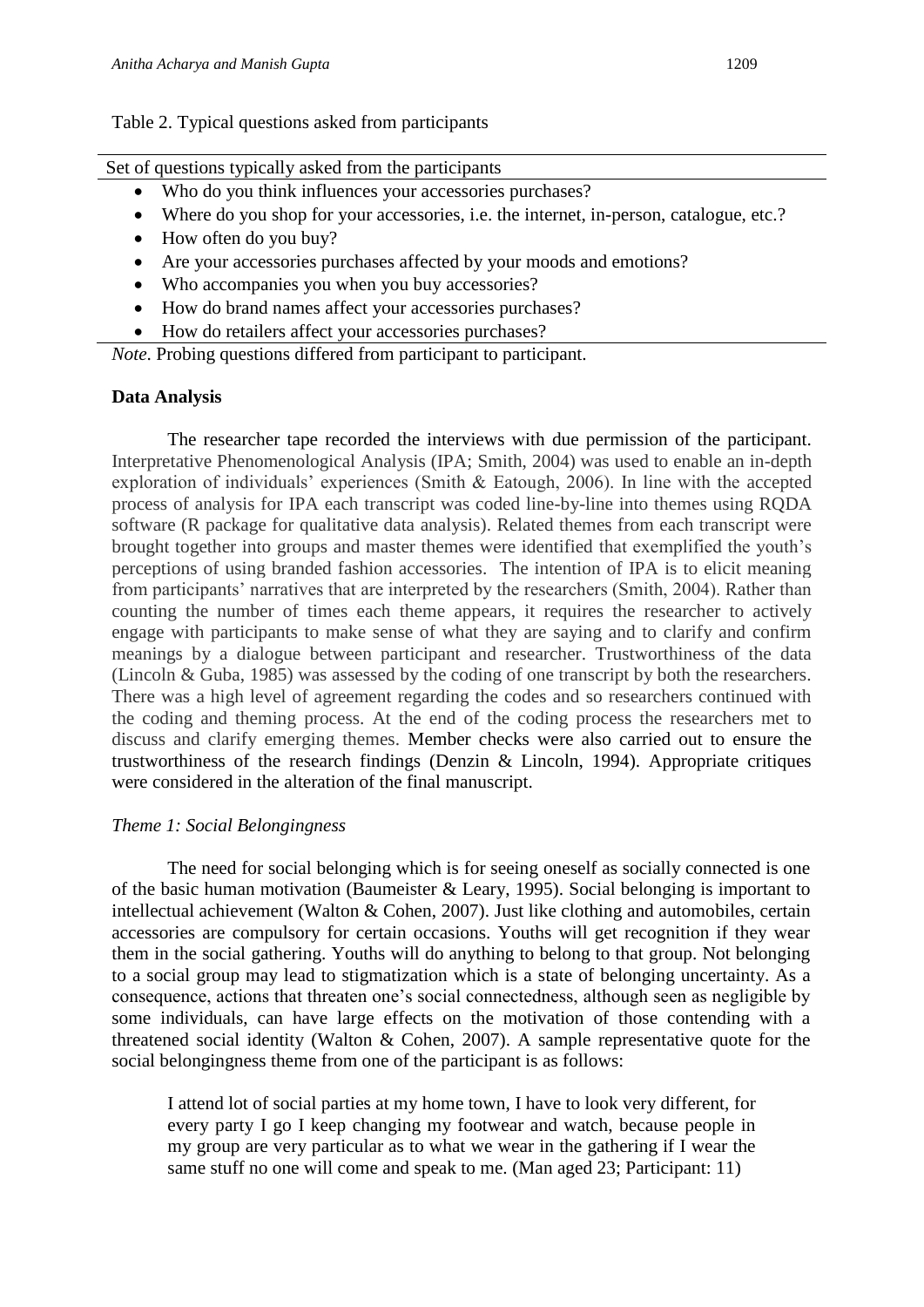#### Table 2. Typical questions asked from participants

Set of questions typically asked from the participants

- Who do you think influences your accessories purchases?
- Where do you shop for your accessories, i.e. the internet, in-person, catalogue, etc.?
- How often do you buy?
- Are your accessories purchases affected by your moods and emotions?
- Who accompanies you when you buy accessories?
- How do brand names affect your accessories purchases?
- How do retailers affect your accessories purchases?

*Note*. Probing questions differed from participant to participant.

#### **Data Analysis**

The researcher tape recorded the interviews with due permission of the participant. Interpretative Phenomenological Analysis (IPA; Smith, 2004) was used to enable an in-depth exploration of individuals' experiences (Smith & Eatough, 2006). In line with the accepted process of analysis for IPA each transcript was coded line-by-line into themes using RQDA software (R package for qualitative data analysis). Related themes from each transcript were brought together into groups and master themes were identified that exemplified the youth's perceptions of using branded fashion accessories. The intention of IPA is to elicit meaning from participants' narratives that are interpreted by the researchers (Smith, 2004). Rather than counting the number of times each theme appears, it requires the researcher to actively engage with participants to make sense of what they are saying and to clarify and confirm meanings by a dialogue between participant and researcher. Trustworthiness of the data (Lincoln & Guba, 1985) was assessed by the coding of one transcript by both the researchers. There was a high level of agreement regarding the codes and so researchers continued with the coding and theming process. At the end of the coding process the researchers met to discuss and clarify emerging themes. Member checks were also carried out to ensure the trustworthiness of the research findings (Denzin & Lincoln, 1994). Appropriate critiques were considered in the alteration of the final manuscript.

#### *Theme 1: Social Belongingness*

The need for social belonging which is for seeing oneself as socially connected is one of the basic human motivation (Baumeister & Leary, 1995). Social belonging is important to intellectual achievement (Walton & Cohen, 2007). Just like clothing and automobiles, certain accessories are compulsory for certain occasions. Youths will get recognition if they wear them in the social gathering. Youths will do anything to belong to that group. Not belonging to a social group may lead to stigmatization which is a state of belonging uncertainty. As a consequence, actions that threaten one's social connectedness, although seen as negligible by some individuals, can have large effects on the motivation of those contending with a threatened social identity (Walton & Cohen, 2007). A sample representative quote for the social belongingness theme from one of the participant is as follows:

I attend lot of social parties at my home town, I have to look very different, for every party I go I keep changing my footwear and watch, because people in my group are very particular as to what we wear in the gathering if I wear the same stuff no one will come and speak to me. (Man aged 23; Participant: 11)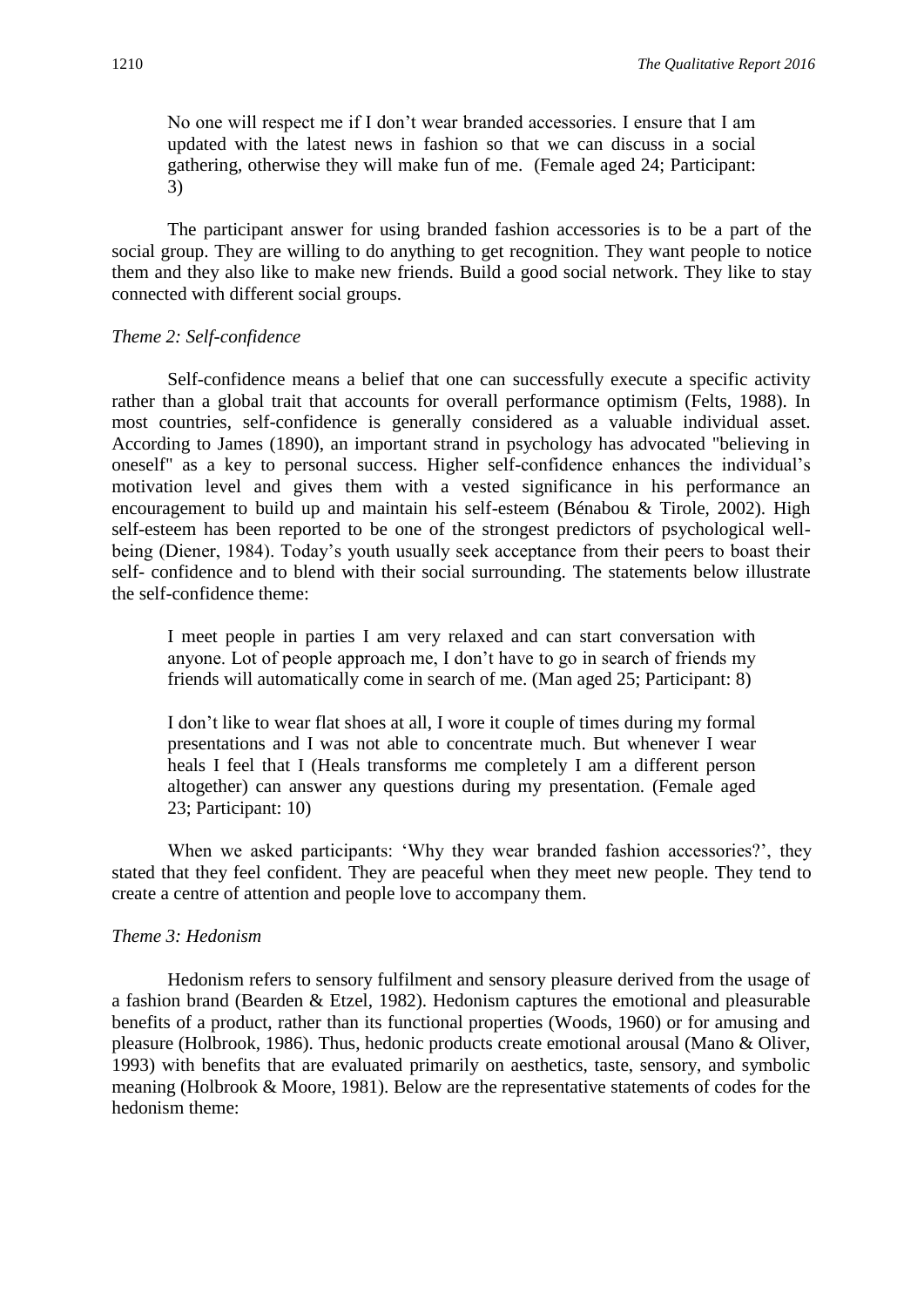No one will respect me if I don't wear branded accessories. I ensure that I am updated with the latest news in fashion so that we can discuss in a social gathering, otherwise they will make fun of me. (Female aged 24; Participant: 3)

The participant answer for using branded fashion accessories is to be a part of the social group. They are willing to do anything to get recognition. They want people to notice them and they also like to make new friends. Build a good social network. They like to stay connected with different social groups.

#### *Theme 2: Self-confidence*

Self-confidence means a belief that one can successfully execute a specific activity rather than a global trait that accounts for overall performance optimism (Felts, 1988). In most countries, self-confidence is generally considered as a valuable individual asset. According to James (1890), an important strand in psychology has advocated "believing in oneself" as a key to personal success. Higher self-confidence enhances the individual's motivation level and gives them with a vested significance in his performance an encouragement to build up and maintain his self-esteem (Bénabou & Tirole, 2002). High self-esteem has been reported to be one of the strongest predictors of psychological wellbeing (Diener, 1984). Today's youth usually seek acceptance from their peers to boast their self- confidence and to blend with their social surrounding. The statements below illustrate the self-confidence theme:

I meet people in parties I am very relaxed and can start conversation with anyone. Lot of people approach me, I don't have to go in search of friends my friends will automatically come in search of me. (Man aged 25; Participant: 8)

I don't like to wear flat shoes at all, I wore it couple of times during my formal presentations and I was not able to concentrate much. But whenever I wear heals I feel that I (Heals transforms me completely I am a different person altogether) can answer any questions during my presentation. (Female aged 23; Participant: 10)

When we asked participants: 'Why they wear branded fashion accessories?', they stated that they feel confident. They are peaceful when they meet new people. They tend to create a centre of attention and people love to accompany them.

#### *Theme 3: Hedonism*

Hedonism refers to sensory fulfilment and sensory pleasure derived from the usage of a fashion brand (Bearden & Etzel, 1982). Hedonism captures the emotional and pleasurable benefits of a product, rather than its functional properties (Woods, 1960) or for amusing and pleasure (Holbrook, 1986). Thus, hedonic products create emotional arousal (Mano & Oliver, 1993) with benefits that are evaluated primarily on aesthetics, taste, sensory, and symbolic meaning (Holbrook & Moore, 1981). Below are the representative statements of codes for the hedonism theme: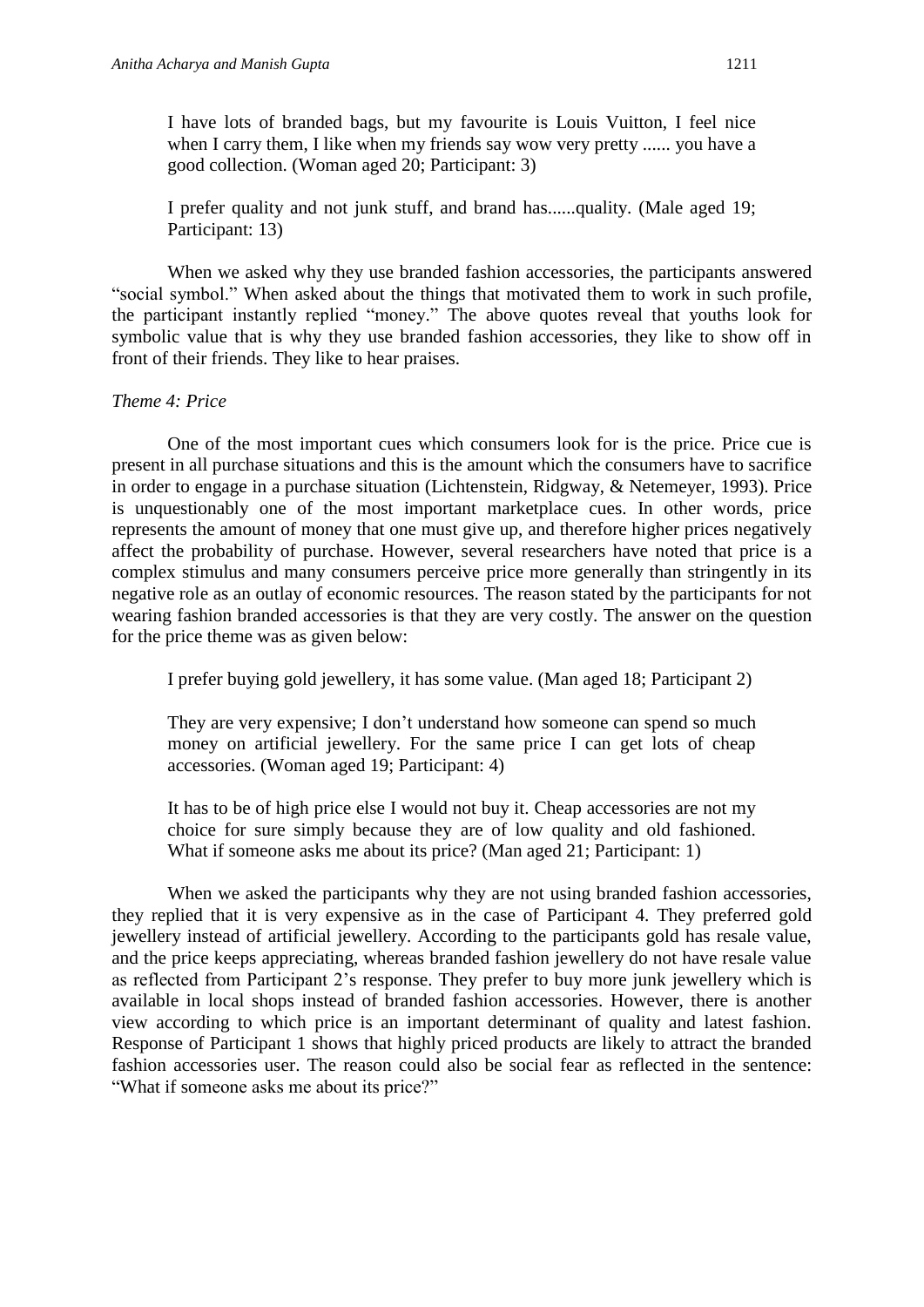I have lots of branded bags, but my favourite is Louis Vuitton, I feel nice when I carry them, I like when my friends say wow very pretty ...... you have a good collection. (Woman aged 20; Participant: 3)

I prefer quality and not junk stuff, and brand has......quality. (Male aged 19; Participant: 13)

When we asked why they use branded fashion accessories, the participants answered "social symbol." When asked about the things that motivated them to work in such profile, the participant instantly replied "money." The above quotes reveal that youths look for symbolic value that is why they use branded fashion accessories, they like to show off in front of their friends. They like to hear praises.

#### *Theme 4: Price*

One of the most important cues which consumers look for is the price. Price cue is present in all purchase situations and this is the amount which the consumers have to sacrifice in order to engage in a purchase situation (Lichtenstein, Ridgway, & Netemeyer, 1993). Price is unquestionably one of the most important marketplace cues. In other words, price represents the amount of money that one must give up, and therefore higher prices negatively affect the probability of purchase. However, several researchers have noted that price is a complex stimulus and many consumers perceive price more generally than stringently in its negative role as an outlay of economic resources. The reason stated by the participants for not wearing fashion branded accessories is that they are very costly. The answer on the question for the price theme was as given below:

I prefer buying gold jewellery, it has some value. (Man aged 18; Participant 2)

They are very expensive; I don't understand how someone can spend so much money on artificial jewellery. For the same price I can get lots of cheap accessories. (Woman aged 19; Participant: 4)

It has to be of high price else I would not buy it. Cheap accessories are not my choice for sure simply because they are of low quality and old fashioned. What if someone asks me about its price? (Man aged 21; Participant: 1)

When we asked the participants why they are not using branded fashion accessories, they replied that it is very expensive as in the case of Participant 4. They preferred gold jewellery instead of artificial jewellery. According to the participants gold has resale value, and the price keeps appreciating, whereas branded fashion jewellery do not have resale value as reflected from Participant 2's response. They prefer to buy more junk jewellery which is available in local shops instead of branded fashion accessories. However, there is another view according to which price is an important determinant of quality and latest fashion. Response of Participant 1 shows that highly priced products are likely to attract the branded fashion accessories user. The reason could also be social fear as reflected in the sentence: "What if someone asks me about its price?"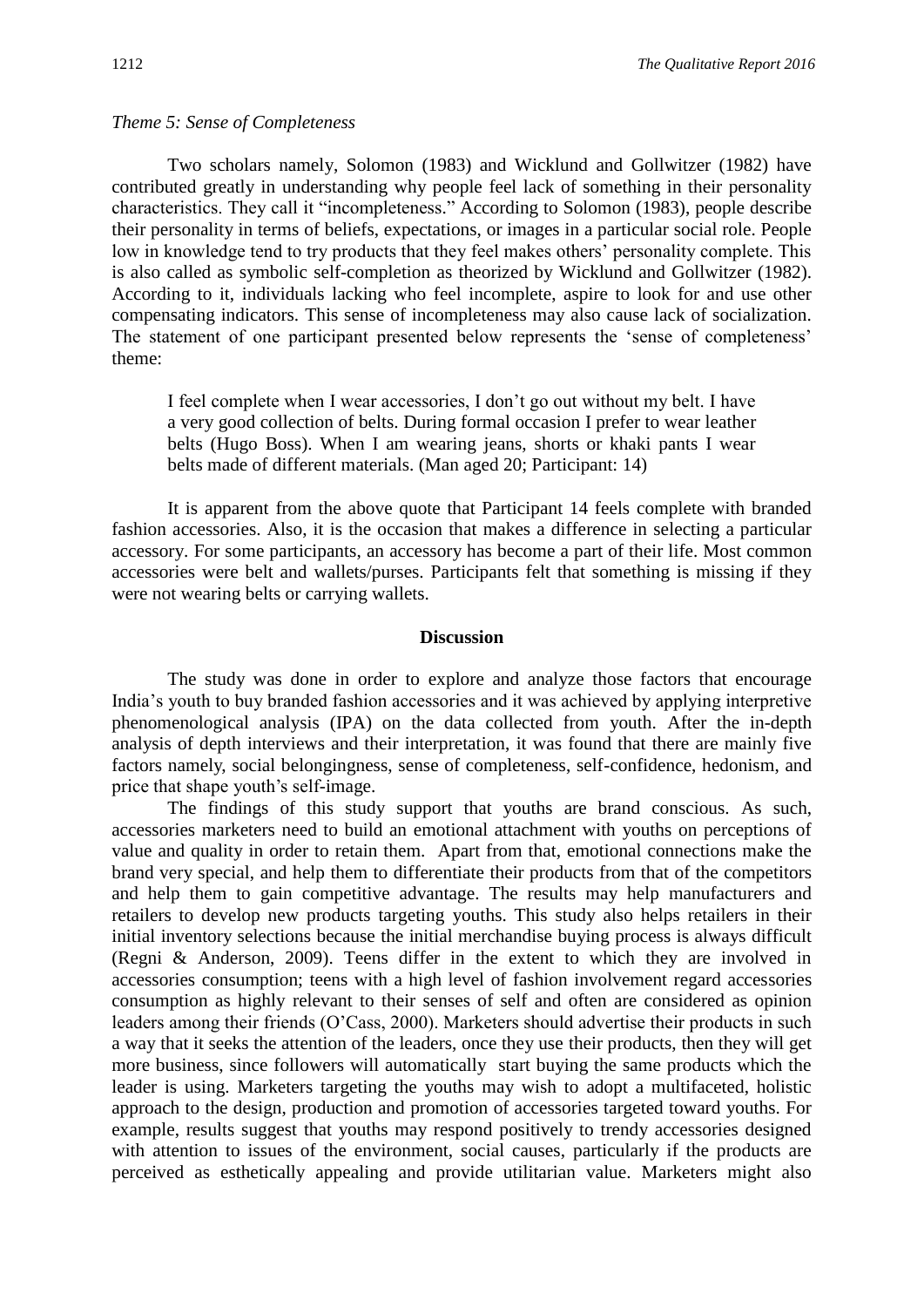#### *Theme 5: Sense of Completeness*

Two scholars namely, Solomon (1983) and Wicklund and Gollwitzer (1982) have contributed greatly in understanding why people feel lack of something in their personality characteristics. They call it "incompleteness." According to Solomon (1983), people describe their personality in terms of beliefs, expectations, or images in a particular social role. People low in knowledge tend to try products that they feel makes others' personality complete. This is also called as symbolic self-completion as theorized by Wicklund and Gollwitzer (1982). According to it, individuals lacking who feel incomplete, aspire to look for and use other compensating indicators. This sense of incompleteness may also cause lack of socialization. The statement of one participant presented below represents the 'sense of completeness' theme:

I feel complete when I wear accessories, I don't go out without my belt. I have a very good collection of belts. During formal occasion I prefer to wear leather belts (Hugo Boss). When I am wearing jeans, shorts or khaki pants I wear belts made of different materials. (Man aged 20; Participant: 14)

It is apparent from the above quote that Participant 14 feels complete with branded fashion accessories. Also, it is the occasion that makes a difference in selecting a particular accessory. For some participants, an accessory has become a part of their life. Most common accessories were belt and wallets/purses. Participants felt that something is missing if they were not wearing belts or carrying wallets.

#### **Discussion**

The study was done in order to explore and analyze those factors that encourage India's youth to buy branded fashion accessories and it was achieved by applying interpretive phenomenological analysis (IPA) on the data collected from youth. After the in-depth analysis of depth interviews and their interpretation, it was found that there are mainly five factors namely, social belongingness, sense of completeness, self-confidence, hedonism, and price that shape youth's self-image.

The findings of this study support that youths are brand conscious. As such, accessories marketers need to build an emotional attachment with youths on perceptions of value and quality in order to retain them. Apart from that, emotional connections make the brand very special, and help them to differentiate their products from that of the competitors and help them to gain competitive advantage. The results may help manufacturers and retailers to develop new products targeting youths. This study also helps retailers in their initial inventory selections because the initial merchandise buying process is always difficult (Regni & Anderson, 2009). Teens differ in the extent to which they are involved in accessories consumption; teens with a high level of fashion involvement regard accessories consumption as highly relevant to their senses of self and often are considered as opinion leaders among their friends (O'Cass, 2000). Marketers should advertise their products in such a way that it seeks the attention of the leaders, once they use their products, then they will get more business, since followers will automatically start buying the same products which the leader is using. Marketers targeting the youths may wish to adopt a multifaceted, holistic approach to the design, production and promotion of accessories targeted toward youths. For example, results suggest that youths may respond positively to trendy accessories designed with attention to issues of the environment, social causes, particularly if the products are perceived as esthetically appealing and provide utilitarian value. Marketers might also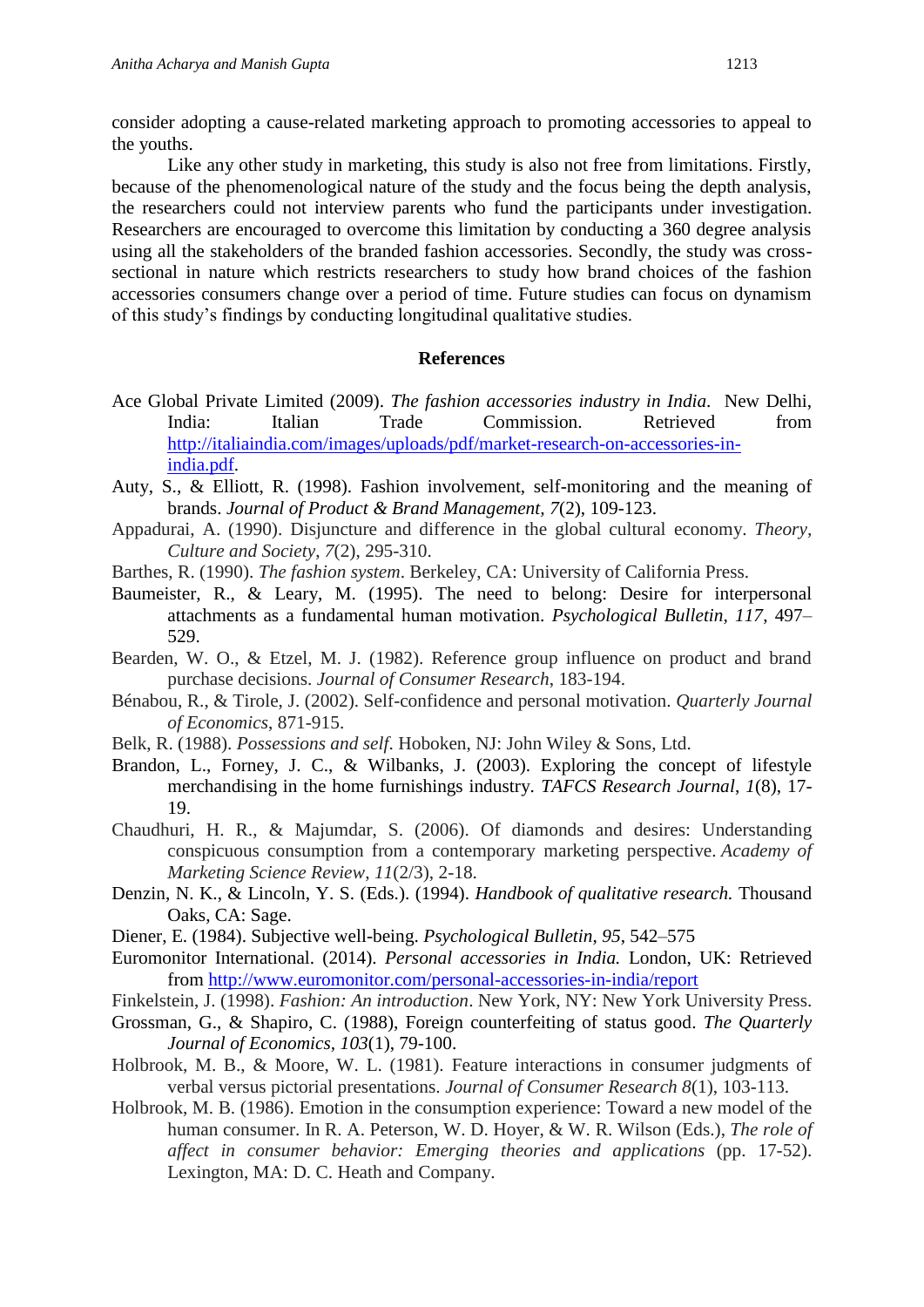consider adopting a cause-related marketing approach to promoting accessories to appeal to the youths.

Like any other study in marketing, this study is also not free from limitations. Firstly, because of the phenomenological nature of the study and the focus being the depth analysis, the researchers could not interview parents who fund the participants under investigation. Researchers are encouraged to overcome this limitation by conducting a 360 degree analysis using all the stakeholders of the branded fashion accessories. Secondly, the study was crosssectional in nature which restricts researchers to study how brand choices of the fashion accessories consumers change over a period of time. Future studies can focus on dynamism of this study's findings by conducting longitudinal qualitative studies.

#### **References**

- Ace Global Private Limited (2009). *The fashion accessories industry in India.* New Delhi, India: Italian Trade Commission. Retrieved from [http://italiaindia.com/images/uploads/pdf/market-research-on-accessories-in](http://italiaindia.com/images/uploads/pdf/market-research-on-accessories-in-india.pdf)[india.pdf.](http://italiaindia.com/images/uploads/pdf/market-research-on-accessories-in-india.pdf)
- Auty, S., & Elliott, R. (1998). Fashion involvement, self-monitoring and the meaning of brands. *Journal of Product & Brand Management, 7*(2), 109-123.
- Appadurai, A. (1990). Disjuncture and difference in the global cultural economy. *Theory, Culture and Society*, *7*(2), 295-310.
- Barthes, R. (1990). *The fashion system*. Berkeley, CA: University of California Press.
- Baumeister, R., & Leary, M. (1995). The need to belong: Desire for interpersonal attachments as a fundamental human motivation. *Psychological Bulletin, 117*, 497– 529.
- Bearden, W. O., & Etzel, M. J. (1982). Reference group influence on product and brand purchase decisions. *Journal of Consumer Research*, 183-194.
- Bénabou, R., & Tirole, J. (2002). Self-confidence and personal motivation. *Quarterly Journal of Economics*, 871-915.
- Belk, R. (1988). *Possessions and self*. Hoboken, NJ: John Wiley & Sons, Ltd.
- Brandon, L., Forney, J. C., & Wilbanks, J. (2003). Exploring the concept of lifestyle merchandising in the home furnishings industry*. TAFCS Research Journal*, *1*(8), 17- 19.
- Chaudhuri, H. R., & Majumdar, S. (2006). Of diamonds and desires: Understanding conspicuous consumption from a contemporary marketing perspective. *Academy of Marketing Science Review*, *11*(2/3), 2-18.
- Denzin, N. K., & Lincoln, Y. S. (Eds.). (1994). *Handbook of qualitative research.* Thousand Oaks, CA: Sage.
- Diener, E. (1984). Subjective well-being. *Psychological Bulletin*, *95*, 542–575
- Euromonitor International. (2014). *Personal accessories in India.* London, UK: Retrieved from<http://www.euromonitor.com/personal-accessories-in-india/report>
- Finkelstein, J. (1998). *Fashion: An introduction*. New York, NY: New York University Press.
- Grossman, G., & Shapiro, C. (1988), Foreign counterfeiting of status good. *The Quarterly Journal of Economics, 103*(1), 79-100.
- Holbrook, M. B., & Moore, W. L. (1981). Feature interactions in consumer judgments of verbal versus pictorial presentations. *Journal of Consumer Research 8*(1), 103-113.
- Holbrook, M. B. (1986). Emotion in the consumption experience: Toward a new model of the human consumer. In R. A. Peterson, W. D. Hoyer, & W. R. Wilson (Eds.), *The role of affect in consumer behavior: Emerging theories and applications* (pp. 17-52). Lexington, MA: D. C. Heath and Company.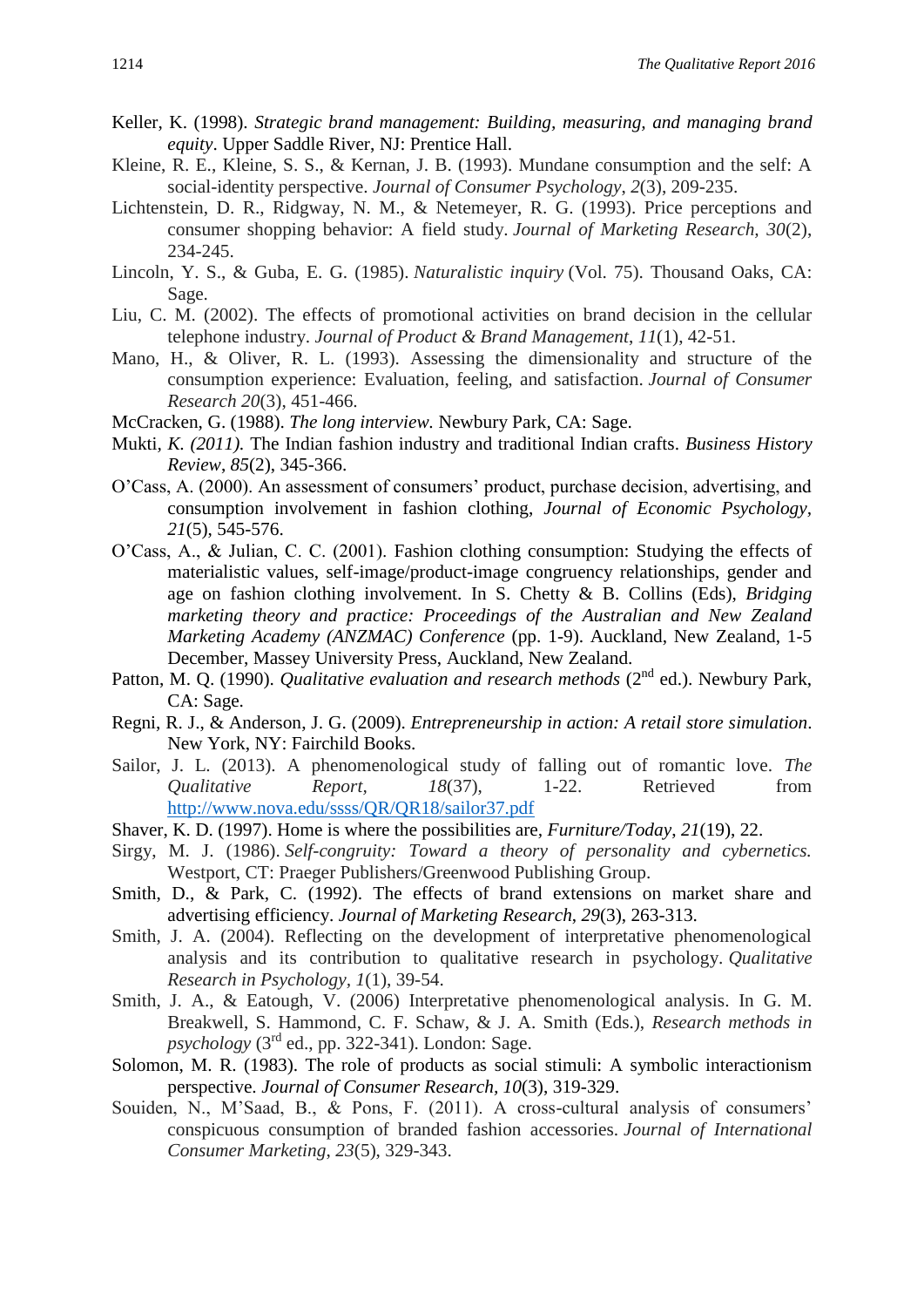- Keller, K. (1998). *Strategic brand management: Building, measuring, and managing brand equity*. Upper Saddle River, NJ: Prentice Hall.
- Kleine, R. E., Kleine, S. S., & Kernan, J. B. (1993). Mundane consumption and the self: A social-identity perspective. *Journal of Consumer Psychology*, *2*(3), 209-235.
- Lichtenstein, D. R., Ridgway, N. M., & Netemeyer, R. G. (1993). Price perceptions and consumer shopping behavior: A field study. *Journal of Marketing Research, 30*(2), 234-245.
- Lincoln, Y. S., & Guba, E. G. (1985). *Naturalistic inquiry* (Vol. 75). Thousand Oaks, CA: Sage.
- Liu, C. M. (2002). The effects of promotional activities on brand decision in the cellular telephone industry. *Journal of Product & Brand Management*, *11*(1), 42-51.
- Mano, H., & Oliver, R. L. (1993). Assessing the dimensionality and structure of the consumption experience: Evaluation, feeling, and satisfaction. *Journal of Consumer Research 20*(3), 451-466.
- McCracken, G. (1988). *The long interview.* Newbury Park, CA: Sage.
- Mukti*, K. (2011).* The Indian fashion industry and traditional Indian crafts. *Business History Review*, *85*(2), 345-366.
- O'Cass, A. (2000). An assessment of consumers' product, purchase decision, advertising, and consumption involvement in fashion clothing, *Journal of Economic Psychology, 21*(5), 545-576.
- O'Cass, A., & Julian, C. C. (2001). Fashion clothing consumption: Studying the effects of materialistic values, self-image/product-image congruency relationships, gender and age on fashion clothing involvement. In S. Chetty & B. Collins (Eds), *Bridging marketing theory and practice: Proceedings of the Australian and New Zealand Marketing Academy (ANZMAC) Conference* (pp. 1-9). Auckland, New Zealand, 1-5 December, Massey University Press, Auckland, New Zealand.
- Patton, M. O. (1990). *Qualitative evaluation and research methods* (2<sup>nd</sup> ed.). Newbury Park, CA: Sage.
- Regni, R. J., & Anderson, J. G. (2009). *Entrepreneurship in action: A retail store simulation*. New York, NY: Fairchild Books.
- Sailor, J. L. (2013). A phenomenological study of falling out of romantic love. *The Qualitative Report, 18*(37), 1-22. Retrieved from <http://www.nova.edu/ssss/QR/QR18/sailor37.pdf>
- Shaver, K. D. (1997). Home is where the possibilities are*, Furniture/Today*, *21*(19), 22.
- Sirgy, M. J. (1986). *Self-congruity: Toward a theory of personality and cybernetics.* Westport, CT: Praeger Publishers/Greenwood Publishing Group.
- Smith, D., & Park, C. (1992). The effects of brand extensions on market share and advertising efficiency. *Journal of Marketing Research*, *29*(3), 263-313.
- Smith, J. A. (2004). Reflecting on the development of interpretative phenomenological analysis and its contribution to qualitative research in psychology. *Qualitative Research in Psychology, 1*(1), 39-54.
- Smith, J. A., & Eatough, V. (2006) Interpretative phenomenological analysis. In G. M. Breakwell, S. Hammond, C. F. Schaw, & J. A. Smith (Eds.), *Research methods in*   $p$ *sychology* ( $3<sup>rd</sup>$  ed., pp. 322-341). London: Sage.
- Solomon, M. R. (1983). The role of products as social stimuli: A symbolic interactionism perspective. *Journal of Consumer Research, 10*(3), 319-329.
- Souiden, N., M'Saad, B., & Pons, F. (2011). A cross-cultural analysis of consumers' conspicuous consumption of branded fashion accessories. *Journal of International Consumer Marketing*, *23*(5), 329-343.